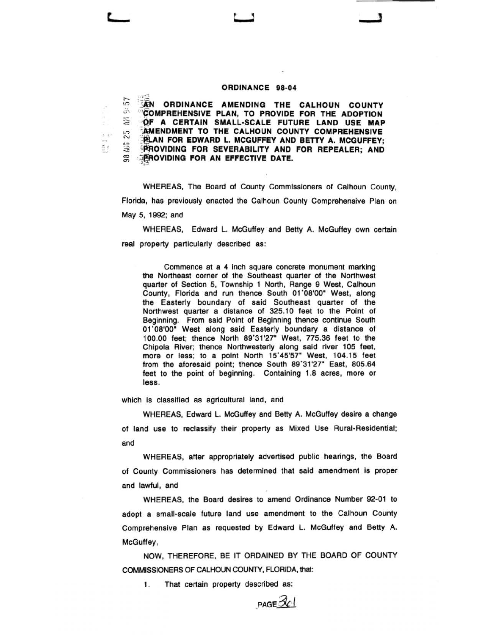## **ORDINANCE 98-04**

r-- ")  $\ddot{\circ}$  $\approx$  $\mathbb{S}$ <.!) 98 AU **FRIEN ORDINANCE AMENDING THE CALHOUN COUNTY '"CbMPREHENSIVE PLAN, TO PROVIDE FOR THE ADOPTION ·QF A CERTAIN SMALL-SCALE FUTURE LAND USE MAP EAMENDMENT TO THE CALHOUN COUNTY COMPREHENSIVE PLAN FOR EDWARD L. MCGUFFEY AND BETTY A. MCGUFFEY; PROVIDING FOR SEVERABILITY AND FOR REPEALER: AND**  $E$ **PROVIDING FOR AN EFFECTIVE DATE.** 

WHEREAS, The Board of County Commissioners of Calhoun County, Florida, has previously enacted the Calhoun County Comprehensive Pian on May 5, 1992; and

WHEREAS, Edward L. McGuffey and Betty A. McGuffey own certain real property particularly described as:

Commence at a 4 inch square concrete monument marking the Northeast corner of the Southeast quarter of the Northwest quarter of Section 5, Township 1 North, Range 9 West, Calhoun County, Florida and run thence South 01'08'00" West, along the Easterly boundary of said Southeast quarter of the Northwest quarter a distance of 325.10 feet to the Point of Beginning. From said Point of Beginning thence continue South 01 '08'00" West along said Easterly boundary a distance of 100.00 feet; thence North 89'31 '27" West, 775.36 feet to the Chipola River; thence Northwesterly along said river 105 feet, more or less; to a point North 15'45'57" West, 104.15 feet from the aforesaid point; thence South 89'31'27" East, 805.64 feet to the point of beginning. Containing 1.8 acres, more or less.

which is classified as agricultural land, and

*r* '

WHEREAS, Edward L. McGuffey and Betty A. McGuffey desire a change of land use to reclassify their property as Mixed Use Rural-Residential; and

WHEREAS, after appropriately advertised public hearings, the Board of County Commissioners has determined that said amendment is proper and lawful, and

WHEREAS, the Board desires to amend Ordinance Number 92-01 to adopt a small-scale future land use amendment to the Calhoun County Comprehensive Plan as requested by Edward L. McGuffey and Betty A. McGuffey,

NOW, THEREFORE, BE IT ORDAINED BY THE BOARD OF COUNTY COMMISSIONERS OF CALHOUN COUNTY, FLORIDA, that:

1. That certain property described as:

 $PAGE$